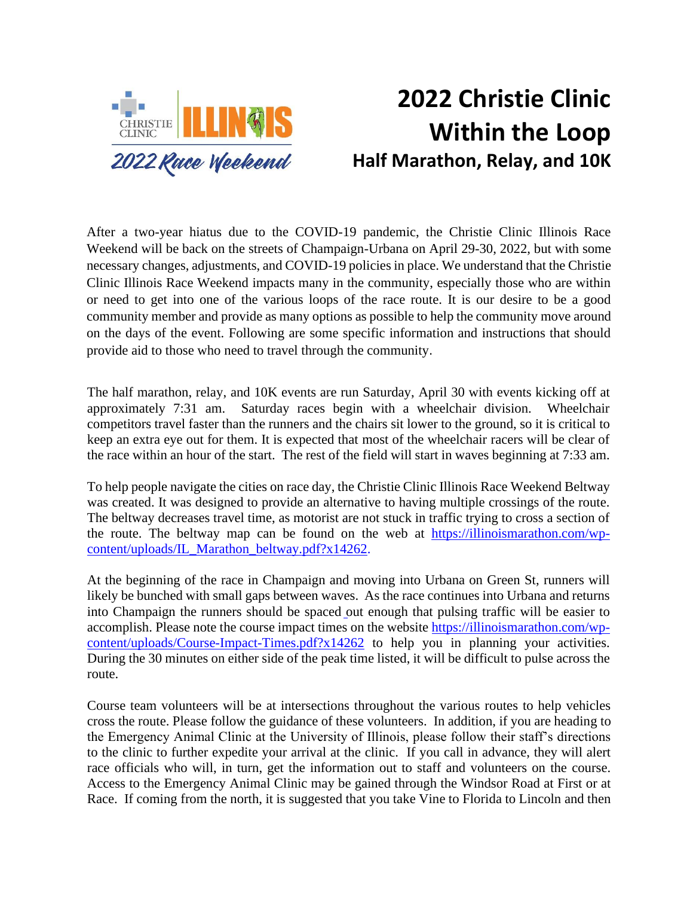

## **2022 Christie Clinic Within the Loop Half Marathon, Relay, and 10K**

After a two-year hiatus due to the COVID-19 pandemic, the Christie Clinic Illinois Race Weekend will be back on the streets of Champaign-Urbana on April 29-30, 2022, but with some necessary changes, adjustments, and COVID-19 policies in place. We understand that the Christie Clinic Illinois Race Weekend impacts many in the community, especially those who are within or need to get into one of the various loops of the race route. It is our desire to be a good community member and provide as many options as possible to help the community move around on the days of the event. Following are some specific information and instructions that should provide aid to those who need to travel through the community.

The half marathon, relay, and 10K events are run Saturday, April 30 with events kicking off at approximately 7:31 am. Saturday races begin with a wheelchair division. Wheelchair competitors travel faster than the runners and the chairs sit lower to the ground, so it is critical to keep an extra eye out for them. It is expected that most of the wheelchair racers will be clear of the race within an hour of the start. The rest of the field will start in waves beginning at 7:33 am.

To help people navigate the cities on race day, the Christie Clinic Illinois Race Weekend Beltway was created. It was designed to provide an alternative to having multiple crossings of the route. The beltway decreases travel time, as motorist are not stuck in traffic trying to cross a section of the route. The beltway map can be found on the web at [https://illinoismarathon.com/wp](https://illinoismarathon.com/wp-content/uploads/IL_Marathon_beltway.pdf?x14262)[content/uploads/IL\\_Marathon\\_beltway.pdf?x14262.](https://illinoismarathon.com/wp-content/uploads/IL_Marathon_beltway.pdf?x14262)

At the beginning of the race in Champaign and moving into Urbana on Green St, runners will likely be bunched with small gaps between waves. As the race continues into Urbana and returns into Champaign the runners should be spaced out enough that pulsing traffic will be easier to accomplish. Please note the course impact times on the website https://illinoismarathon.com/wpcontent/uploads/Course-Impact-Times.pdf?x14262 to help you in planning your activities. During the 30 minutes on either side of the peak time listed, it will be difficult to pulse across the route.

Course team volunteers will be at intersections throughout the various routes to help vehicles cross the route. Please follow the guidance of these volunteers. In addition, if you are heading to the Emergency Animal Clinic at the University of Illinois, please follow their staff's directions to the clinic to further expedite your arrival at the clinic. If you call in advance, they will alert race officials who will, in turn, get the information out to staff and volunteers on the course. Access to the Emergency Animal Clinic may be gained through the Windsor Road at First or at Race. If coming from the north, it is suggested that you take Vine to Florida to Lincoln and then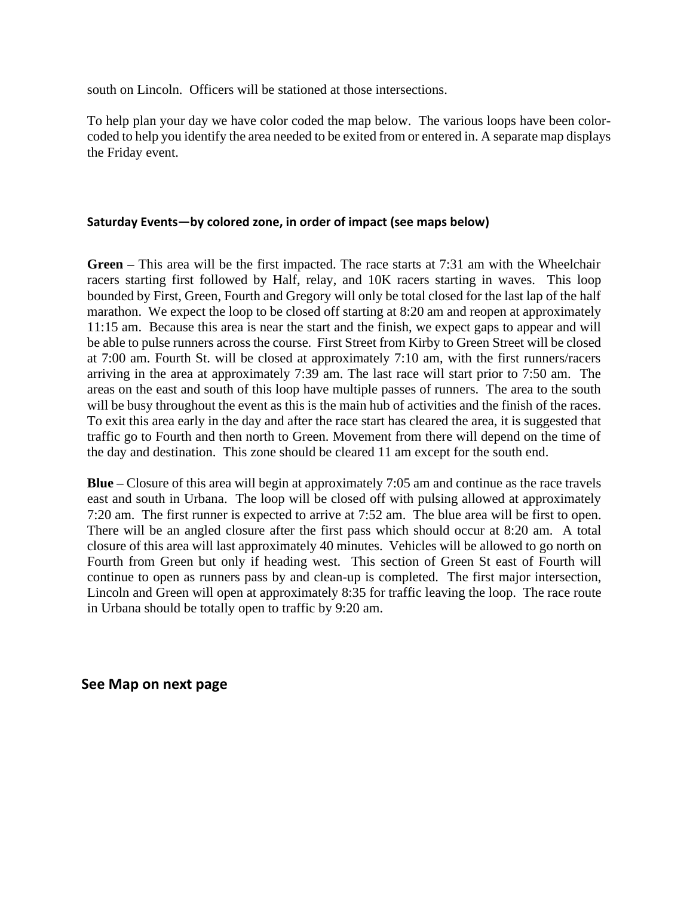south on Lincoln. Officers will be stationed at those intersections.

To help plan your day we have color coded the map below. The various loops have been colorcoded to help you identify the area needed to be exited from or entered in. A separate map displays the Friday event.

## **Saturday Events—by colored zone, in order of impact (see maps below)**

**Green –** This area will be the first impacted. The race starts at 7:31 am with the Wheelchair racers starting first followed by Half, relay, and 10K racers starting in waves. This loop bounded by First, Green, Fourth and Gregory will only be total closed for the last lap of the half marathon. We expect the loop to be closed off starting at 8:20 am and reopen at approximately 11:15 am. Because this area is near the start and the finish, we expect gaps to appear and will be able to pulse runners across the course. First Street from Kirby to Green Street will be closed at 7:00 am. Fourth St. will be closed at approximately 7:10 am, with the first runners/racers arriving in the area at approximately 7:39 am. The last race will start prior to 7:50 am. The areas on the east and south of this loop have multiple passes of runners. The area to the south will be busy throughout the event as this is the main hub of activities and the finish of the races. To exit this area early in the day and after the race start has cleared the area, it is suggested that traffic go to Fourth and then north to Green. Movement from there will depend on the time of the day and destination. This zone should be cleared 11 am except for the south end.

**Blue –** Closure of this area will begin at approximately 7:05 am and continue as the race travels east and south in Urbana. The loop will be closed off with pulsing allowed at approximately 7:20 am. The first runner is expected to arrive at 7:52 am.The blue area will be first to open. There will be an angled closure after the first pass which should occur at 8:20 am. A total closure of this area will last approximately 40 minutes. Vehicles will be allowed to go north on Fourth from Green but only if heading west. This section of Green St east of Fourth will continue to open as runners pass by and clean-up is completed. The first major intersection, Lincoln and Green will open at approximately 8:35 for traffic leaving the loop. The race route in Urbana should be totally open to traffic by 9:20 am.

**See Map on next page**